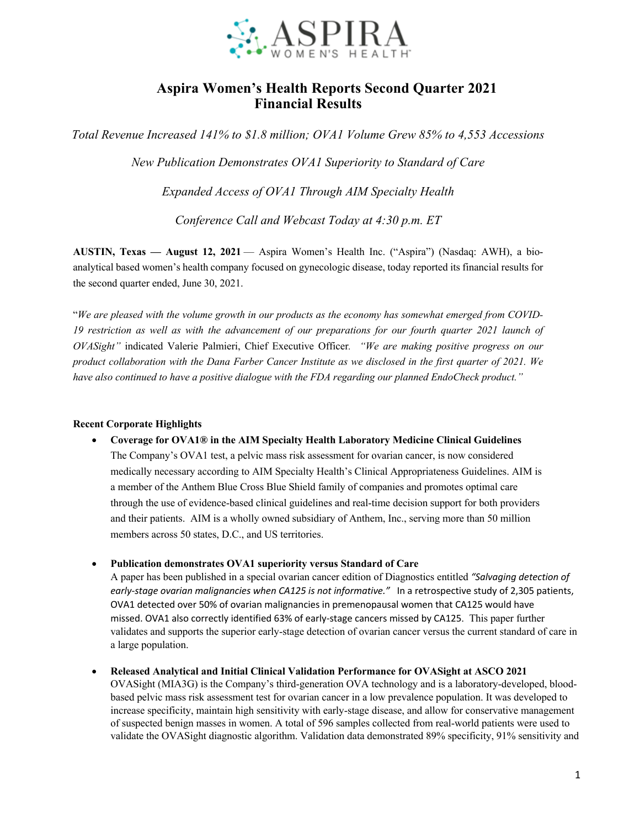

# **Aspira Women's Health Reports Second Quarter 2021 Financial Results**

*Total Revenue Increased 141% to \$1.8 million; OVA1 Volume Grew 85% to 4,553 Accessions*

*New Publication Demonstrates OVA1 Superiority to Standard of Care*

*Expanded Access of OVA1 Through AIM Specialty Health*

*Conference Call and Webcast Today at 4:30 p.m. ET*

**AUSTIN, Texas — August 12, 2021** — Aspira Women's Health Inc. ("Aspira") (Nasdaq: AWH), a bioanalytical based women's health company focused on gynecologic disease, today reported its financial results for the second quarter ended, June 30, 2021.

"*We are pleased with the volume growth in our products as the economy has somewhat emerged from COVID-19 restriction as well as with the advancement of our preparations for our fourth quarter 2021 launch of OVASight"* indicated Valerie Palmieri, Chief Executive Officer*. "We are making positive progress on our product collaboration with the Dana Farber Cancer Institute as we disclosed in the first quarter of 2021. We have also continued to have a positive dialogue with the FDA regarding our planned EndoCheck product."* 

### **Recent Corporate Highlights**

- **Coverage for OVA1® in the AIM Specialty Health Laboratory Medicine Clinical Guidelines**
	- The Company's OVA1 test, a pelvic mass risk assessment for ovarian cancer, is now considered medically necessary according to AIM Specialty Health's Clinical Appropriateness Guidelines. AIM is a member of the Anthem Blue Cross Blue Shield family of companies and promotes optimal care through the use of evidence-based clinical guidelines and real-time decision support for both providers and their patients. AIM is a wholly owned subsidiary of Anthem, Inc., serving more than 50 million members across 50 states, D.C., and US territories.
- **Publication demonstrates OVA1 superiority versus Standard of Care**

A paper has been published in a special ovarian cancer edition of Diagnostics entitled *"Salvaging detection of early-stage ovarian malignancies when CA125 is not informative."* In a retrospective study of 2,305 patients, OVA1 detected over 50% of ovarian malignancies in premenopausal women that CA125 would have missed. OVA1 also correctly identified 63% of early-stage cancers missed by CA125. This paper further validates and supports the superior early-stage detection of ovarian cancer versus the current standard of care in a large population.

• **Released Analytical and Initial Clinical Validation Performance for OVASight at ASCO 2021**  OVASight (MIA3G) is the Company's third-generation OVA technology and is a laboratory-developed, bloodbased pelvic mass risk assessment test for ovarian cancer in a low prevalence population. It was developed to increase specificity, maintain high sensitivity with early-stage disease, and allow for conservative management of suspected benign masses in women. A total of 596 samples collected from real-world patients were used to validate the OVASight diagnostic algorithm. Validation data demonstrated 89% specificity, 91% sensitivity and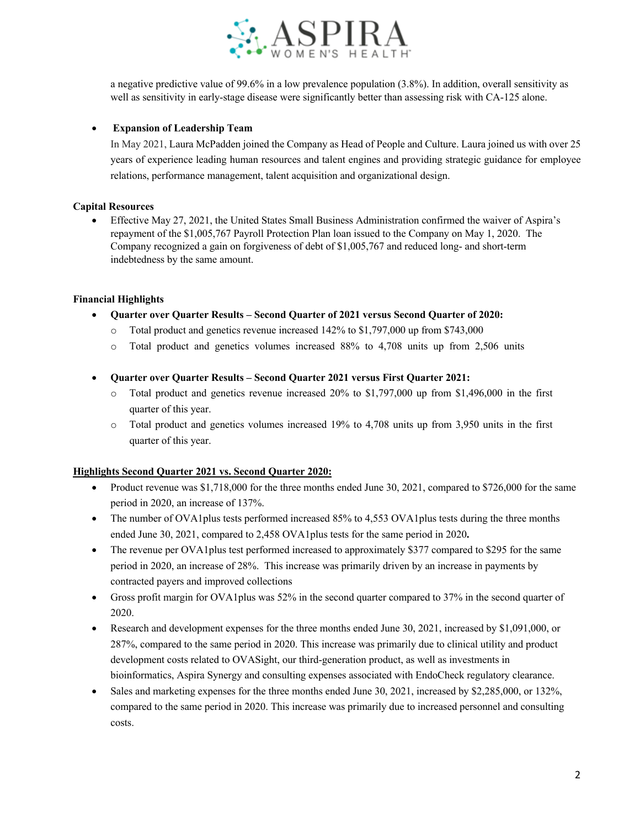

a negative predictive value of 99.6% in a low prevalence population (3.8%). In addition, overall sensitivity as well as sensitivity in early-stage disease were significantly better than assessing risk with CA-125 alone.

### • **Expansion of Leadership Team**

In May 2021, Laura McPadden joined the Company as Head of People and Culture. Laura joined us with over 25 years of experience leading human resources and talent engines and providing strategic guidance for employee relations, performance management, talent acquisition and organizational design.

### **Capital Resources**

• Effective May 27, 2021, the United States Small Business Administration confirmed the waiver of Aspira's repayment of the \$1,005,767 Payroll Protection Plan loan issued to the Company on May 1, 2020. The Company recognized a gain on forgiveness of debt of \$1,005,767 and reduced long- and short-term indebtedness by the same amount.

#### **Financial Highlights**

- **Quarter over Quarter Results – Second Quarter of 2021 versus Second Quarter of 2020:**
	- o Total product and genetics revenue increased 142% to \$1,797,000 up from \$743,000
	- o Total product and genetics volumes increased 88% to 4,708 units up from 2,506 units
- **Quarter over Quarter Results – Second Quarter 2021 versus First Quarter 2021:**
	- $\circ$  Total product and genetics revenue increased 20% to \$1,797,000 up from \$1,496,000 in the first quarter of this year.
	- o Total product and genetics volumes increased 19% to 4,708 units up from 3,950 units in the first quarter of this year.

### **Highlights Second Quarter 2021 vs. Second Quarter 2020:**

- Product revenue was \$1,718,000 for the three months ended June 30, 2021, compared to \$726,000 for the same period in 2020, an increase of 137%.
- The number of OVA1plus tests performed increased 85% to 4,553 OVA1plus tests during the three months ended June 30, 2021, compared to 2,458 OVA1plus tests for the same period in 2020**.**
- The revenue per OVA1plus test performed increased to approximately \$377 compared to \$295 for the same period in 2020, an increase of 28%. This increase was primarily driven by an increase in payments by contracted payers and improved collections
- Gross profit margin for OVA1plus was 52% in the second quarter compared to 37% in the second quarter of 2020.
- Research and development expenses for the three months ended June 30, 2021, increased by \$1,091,000, or 287%, compared to the same period in 2020. This increase was primarily due to clinical utility and product development costs related to OVASight, our third-generation product, as well as investments in bioinformatics, Aspira Synergy and consulting expenses associated with EndoCheck regulatory clearance.
- Sales and marketing expenses for the three months ended June 30, 2021, increased by \$2,285,000, or 132%, compared to the same period in 2020. This increase was primarily due to increased personnel and consulting costs.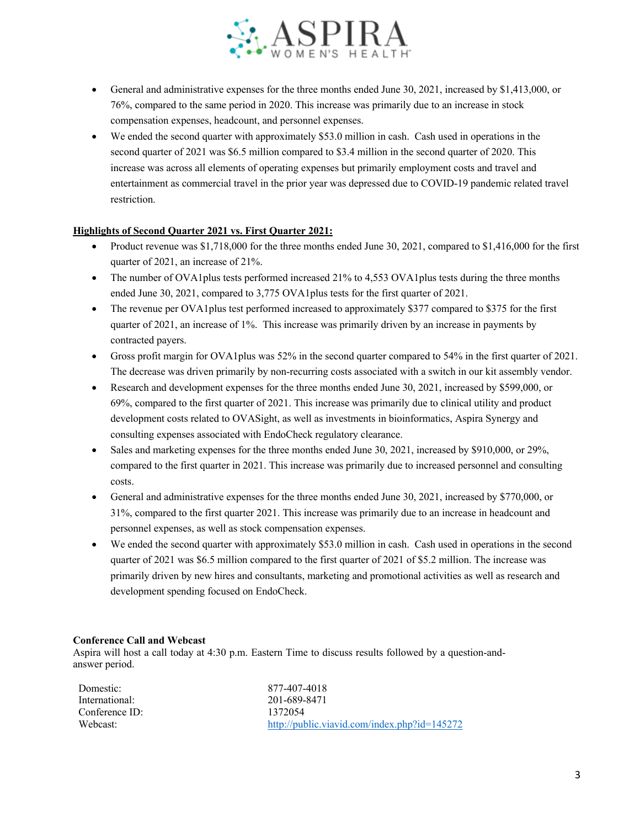

- General and administrative expenses for the three months ended June 30, 2021, increased by \$1,413,000, or 76%, compared to the same period in 2020. This increase was primarily due to an increase in stock compensation expenses, headcount, and personnel expenses.
- We ended the second quarter with approximately \$53.0 million in cash. Cash used in operations in the second quarter of 2021 was \$6.5 million compared to \$3.4 million in the second quarter of 2020. This increase was across all elements of operating expenses but primarily employment costs and travel and entertainment as commercial travel in the prior year was depressed due to COVID-19 pandemic related travel restriction.

### **Highlights of Second Quarter 2021 vs. First Quarter 2021:**

- Product revenue was \$1,718,000 for the three months ended June 30, 2021, compared to \$1,416,000 for the first quarter of 2021, an increase of 21%.
- The number of OVA1plus tests performed increased 21% to 4,553 OVA1plus tests during the three months ended June 30, 2021, compared to 3,775 OVA1plus tests for the first quarter of 2021.
- The revenue per OVA1plus test performed increased to approximately \$377 compared to \$375 for the first quarter of 2021, an increase of 1%. This increase was primarily driven by an increase in payments by contracted payers.
- Gross profit margin for OVA1plus was 52% in the second quarter compared to 54% in the first quarter of 2021. The decrease was driven primarily by non-recurring costs associated with a switch in our kit assembly vendor.
- Research and development expenses for the three months ended June 30, 2021, increased by \$599,000, or 69%, compared to the first quarter of 2021. This increase was primarily due to clinical utility and product development costs related to OVASight, as well as investments in bioinformatics, Aspira Synergy and consulting expenses associated with EndoCheck regulatory clearance.
- Sales and marketing expenses for the three months ended June 30, 2021, increased by \$910,000, or 29%, compared to the first quarter in 2021. This increase was primarily due to increased personnel and consulting costs.
- General and administrative expenses for the three months ended June 30, 2021, increased by \$770,000, or 31%, compared to the first quarter 2021. This increase was primarily due to an increase in headcount and personnel expenses, as well as stock compensation expenses.
- We ended the second quarter with approximately \$53.0 million in cash. Cash used in operations in the second quarter of 2021 was \$6.5 million compared to the first quarter of 2021 of \$5.2 million. The increase was primarily driven by new hires and consultants, marketing and promotional activities as well as research and development spending focused on EndoCheck.

#### **Conference Call and Webcast**

Aspira will host a call today at 4:30 p.m. Eastern Time to discuss results followed by a question-andanswer period.

| Domestic:      | 877-407-4018                                 |
|----------------|----------------------------------------------|
| International: | 201-689-8471                                 |
| Conference ID: | 1372054                                      |
| Webcast:       | http://public.viavid.com/index.php?id=145272 |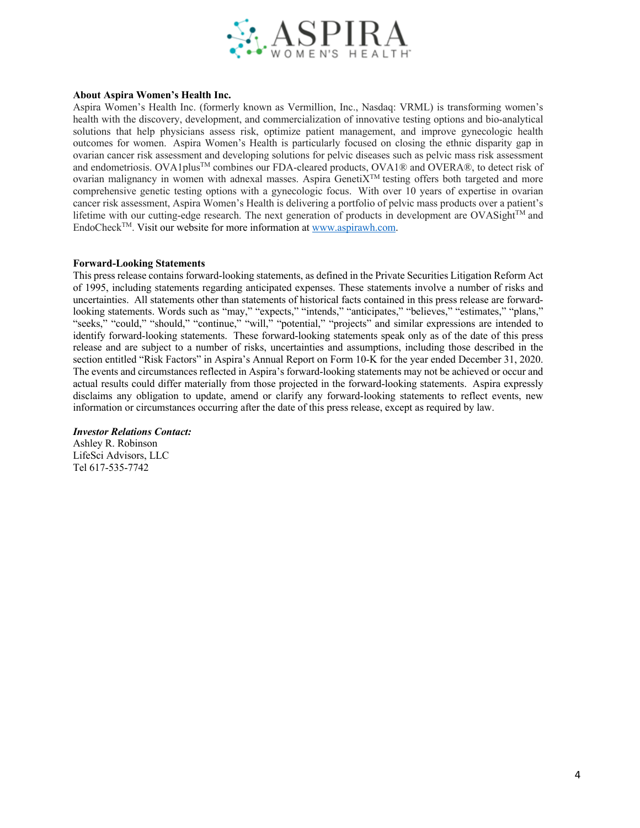

#### **About Aspira Women's Health Inc.**

Aspira Women's Health Inc. (formerly known as Vermillion, Inc., Nasdaq: VRML) is transforming women's health with the discovery, development, and commercialization of innovative testing options and bio-analytical solutions that help physicians assess risk, optimize patient management, and improve gynecologic health outcomes for women. Aspira Women's Health is particularly focused on closing the ethnic disparity gap in ovarian cancer risk assessment and developing solutions for pelvic diseases such as pelvic mass risk assessment and endometriosis. OVA1plus<sup>TM</sup> combines our FDA-cleared products, OVA1® and OVERA®, to detect risk of ovarian malignancy in women with adnexal masses. Aspira GenetiXTM testing offers both targeted and more comprehensive genetic testing options with a gynecologic focus. With over 10 years of expertise in ovarian cancer risk assessment, Aspira Women's Health is delivering a portfolio of pelvic mass products over a patient's lifetime with our cutting-edge research. The next generation of products in development are OVASight<sup>TM</sup> and EndoCheckTM. Visit our website for more information at www.aspirawh.com.

#### **Forward-Looking Statements**

This press release contains forward-looking statements, as defined in the Private Securities Litigation Reform Act of 1995, including statements regarding anticipated expenses. These statements involve a number of risks and uncertainties. All statements other than statements of historical facts contained in this press release are forwardlooking statements. Words such as "may," "expects," "intends," "anticipates," "believes," "estimates," "plans," "seeks," "could," "should," "continue," "will," "potential," "projects" and similar expressions are intended to identify forward-looking statements. These forward-looking statements speak only as of the date of this press release and are subject to a number of risks, uncertainties and assumptions, including those described in the section entitled "Risk Factors" in Aspira's Annual Report on Form 10-K for the year ended December 31, 2020. The events and circumstances reflected in Aspira's forward-looking statements may not be achieved or occur and actual results could differ materially from those projected in the forward-looking statements. Aspira expressly disclaims any obligation to update, amend or clarify any forward-looking statements to reflect events, new information or circumstances occurring after the date of this press release, except as required by law.

#### *Investor Relations Contact:*

Ashley R. Robinson LifeSci Advisors, LLC Tel 617-535-7742